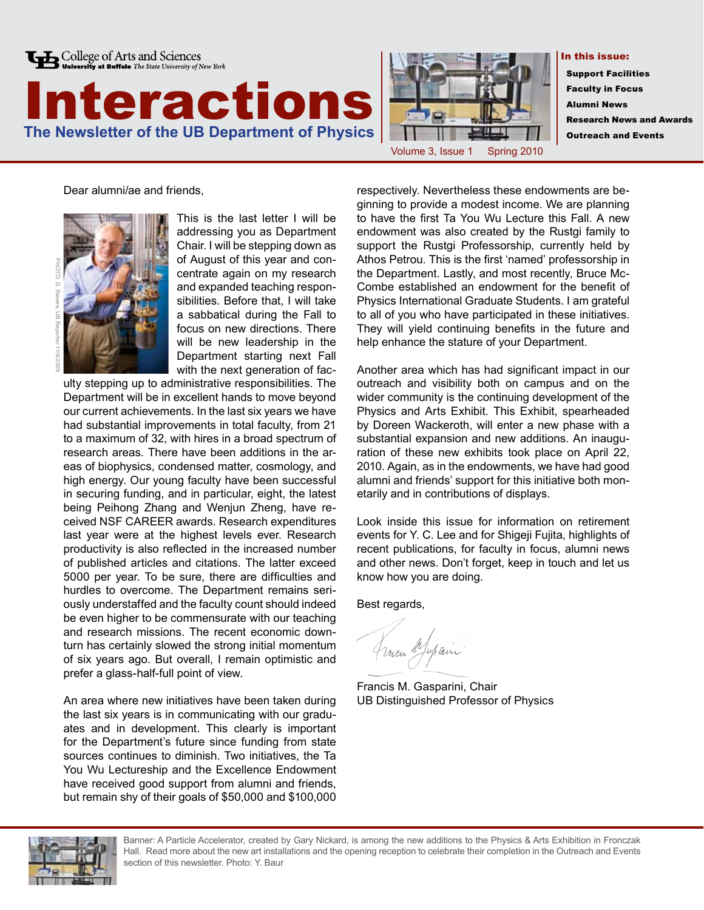





In this issue:

 Support Facilities Faculty in Focus Alumni News Research News and Awards Outreach and Events

Dear alumni/ae and friends,



This is the last letter I will be addressing you as Department Chair. I will be stepping down as of August of this year and concentrate again on my research and expanded teaching responsibilities. Before that, I will take a sabbatical during the Fall to focus on new directions. There will be new leadership in the Department starting next Fall with the next generation of fac-

ulty stepping up to administrative responsibilities. The Department will be in excellent hands to move beyond our current achievements. In the last six years we have had substantial improvements in total faculty, from 21 to a maximum of 32, with hires in a broad spectrum of research areas. There have been additions in the areas of biophysics, condensed matter, cosmology, and high energy. Our young faculty have been successful in securing funding, and in particular, eight, the latest being Peihong Zhang and Wenjun Zheng, have received NSF CAREER awards. Research expenditures last year were at the highest levels ever. Research productivity is also reflected in the increased number of published articles and citations. The latter exceed 5000 per year. To be sure, there are difficulties and hurdles to overcome. The Department remains seriously understaffed and the faculty count should indeed be even higher to be commensurate with our teaching and research missions. The recent economic downturn has certainly slowed the strong initial momentum of six years ago. But overall, I remain optimistic and prefer a glass-half-full point of view.

An area where new initiatives have been taken during the last six years is in communicating with our graduates and in development. This clearly is important for the Department's future since funding from state sources continues to diminish. Two initiatives, the Ta You Wu Lectureship and the Excellence Endowment have received good support from alumni and friends, but remain shy of their goals of \$50,000 and \$100,000

respectively. Nevertheless these endowments are beginning to provide a modest income. We are planning to have the first Ta You Wu Lecture this Fall. A new endowment was also created by the Rustgi family to support the Rustgi Professorship, currently held by Athos Petrou. This is the first 'named' professorship in the Department. Lastly, and most recently, Bruce Mc-Combe established an endowment for the benefit of Physics International Graduate Students. I am grateful to all of you who have participated in these initiatives. They will yield continuing benefits in the future and help enhance the stature of your Department.

Another area which has had significant impact in our outreach and visibility both on campus and on the wider community is the continuing development of the Physics and Arts Exhibit. This Exhibit, spearheaded by Doreen Wackeroth, will enter a new phase with a substantial expansion and new additions. An inauguration of these new exhibits took place on April 22, 2010. Again, as in the endowments, we have had good alumni and friends' support for this initiative both monetarily and in contributions of displays.

Look inside this issue for information on retirement events for Y. C. Lee and for Shigeji Fujita, highlights of recent publications, for faculty in focus, alumni news and other news. Don't forget, keep in touch and let us know how you are doing.

Best regards,

France Mapain

Francis M. Gasparini, Chair UB Distinguished Professor of Physics



Banner: A Particle Accelerator, created by Gary Nickard, is among the new additions to the Physics & Arts Exhibition in Fronczak Hall. Read more about the new art installations and the opening reception to celebrate their completion in the Outreach and Events section of this newsletter. Photo: Y. Baur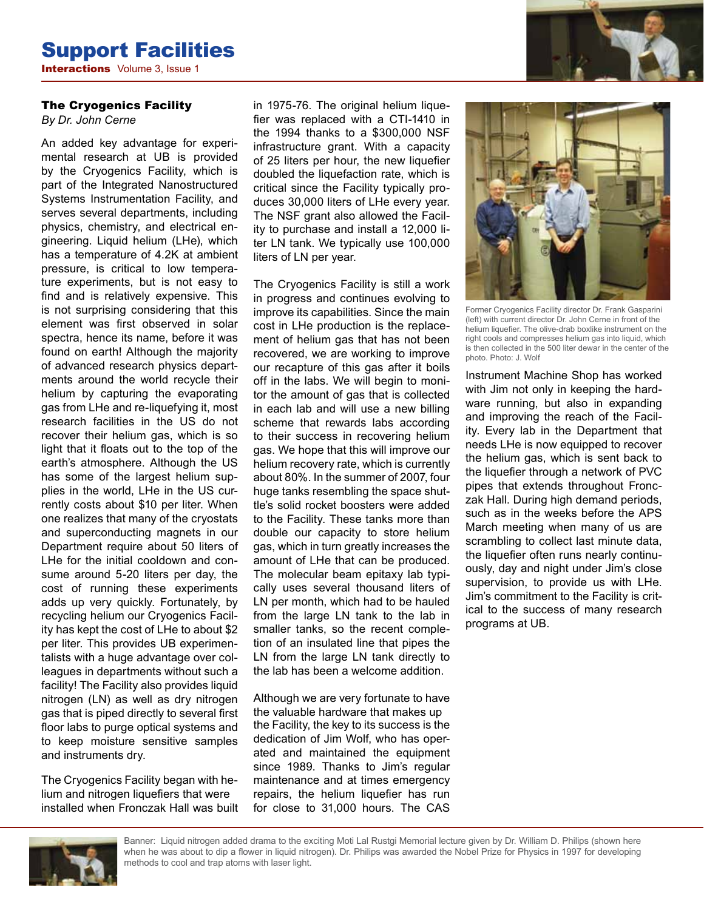### Support Facilities **Interactions** Volume 3, Issue 1

#### The Cryogenics Facility

*By Dr. John Cerne*

An added key advantage for experimental research at UB is provided by the Cryogenics Facility, which is part of the Integrated Nanostructured Systems Instrumentation Facility, and serves several departments, including physics, chemistry, and electrical engineering. Liquid helium (LHe), which has a temperature of 4.2K at ambient pressure, is critical to low temperature experiments, but is not easy to find and is relatively expensive. This is not surprising considering that this element was first observed in solar spectra, hence its name, before it was found on earth! Although the majority of advanced research physics departments around the world recycle their helium by capturing the evaporating gas from LHe and re-liquefying it, most research facilities in the US do not recover their helium gas, which is so light that it floats out to the top of the earth's atmosphere. Although the US has some of the largest helium supplies in the world, LHe in the US currently costs about \$10 per liter. When one realizes that many of the cryostats and superconducting magnets in our Department require about 50 liters of LHe for the initial cooldown and consume around 5-20 liters per day, the cost of running these experiments adds up very quickly. Fortunately, by recycling helium our Cryogenics Facility has kept the cost of LHe to about \$2 per liter. This provides UB experimentalists with a huge advantage over colleagues in departments without such a facility! The Facility also provides liquid nitrogen (LN) as well as dry nitrogen gas that is piped directly to several first floor labs to purge optical systems and to keep moisture sensitive samples and instruments dry.

The Cryogenics Facility began with helium and nitrogen liquefiers that were installed when Fronczak Hall was built in 1975-76. The original helium liquefier was replaced with a CTI-1410 in the 1994 thanks to a \$300,000 NSF infrastructure grant. With a capacity of 25 liters per hour, the new liquefier doubled the liquefaction rate, which is critical since the Facility typically produces 30,000 liters of LHe every year. The NSF grant also allowed the Facility to purchase and install a 12,000 liter LN tank. We typically use 100,000 liters of LN per year.

The Cryogenics Facility is still a work in progress and continues evolving to improve its capabilities. Since the main cost in LHe production is the replacement of helium gas that has not been recovered, we are working to improve our recapture of this gas after it boils off in the labs. We will begin to monitor the amount of gas that is collected in each lab and will use a new billing scheme that rewards labs according to their success in recovering helium gas. We hope that this will improve our helium recovery rate, which is currently about 80%. In the summer of 2007, four huge tanks resembling the space shuttle's solid rocket boosters were added to the Facility. These tanks more than double our capacity to store helium gas, which in turn greatly increases the amount of LHe that can be produced. The molecular beam epitaxy lab typically uses several thousand liters of LN per month, which had to be hauled from the large LN tank to the lab in smaller tanks, so the recent completion of an insulated line that pipes the LN from the large LN tank directly to the lab has been a welcome addition.

Although we are very fortunate to have the valuable hardware that makes up the Facility, the key to its success is the dedication of Jim Wolf, who has operated and maintained the equipment since 1989. Thanks to Jim's regular maintenance and at times emergency repairs, the helium liquefier has run for close to 31,000 hours. The CAS



Former Cryogenics Facility director Dr. Frank Gasparini (left) with current director Dr. John Cerne in front of the helium liquefier. The olive-drab boxlike instrument on the right cools and compresses helium gas into liquid, which is then collected in the 500 liter dewar in the center of the photo. Photo: J. Wolf

Instrument Machine Shop has worked with Jim not only in keeping the hardware running, but also in expanding and improving the reach of the Facility. Every lab in the Department that needs LHe is now equipped to recover the helium gas, which is sent back to the liquefier through a network of PVC pipes that extends throughout Fronczak Hall. During high demand periods, such as in the weeks before the APS March meeting when many of us are scrambling to collect last minute data, the liquefier often runs nearly continuously, day and night under Jim's close supervision, to provide us with LHe. Jim's commitment to the Facility is critical to the success of many research programs at UB.



Banner: Liquid nitrogen added drama to the exciting Moti Lal Rustgi Memorial lecture given by Dr. William D. Philips (shown here when he was about to dip a flower in liquid nitrogen). Dr. Philips was awarded the Nobel Prize for Physics in 1997 for developing methods to cool and trap atoms with laser light.

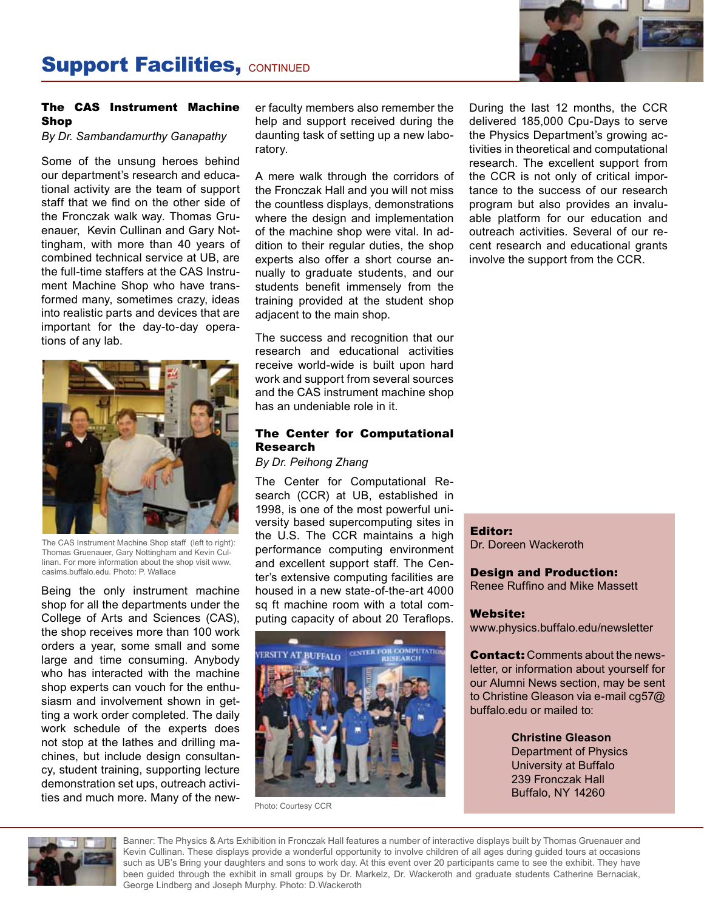

#### The CAS Instrument Machine Shop

*By Dr. Sambandamurthy Ganapathy*

Some of the unsung heroes behind our department's research and educational activity are the team of support staff that we find on the other side of the Fronczak walk way. Thomas Gruenauer, Kevin Cullinan and Gary Nottingham, with more than 40 years of combined technical service at UB, are the full-time staffers at the CAS Instrument Machine Shop who have transformed many, sometimes crazy, ideas into realistic parts and devices that are important for the day-to-day operations of any lab.



The CAS Instrument Machine Shop staff (left to right): Thomas Gruenauer, Gary Nottingham and Kevin Cullinan. For more information about the shop visit www. casims.buffalo.edu. Photo: P. Wallace

Being the only instrument machine shop for all the departments under the College of Arts and Sciences (CAS), the shop receives more than 100 work orders a year, some small and some large and time consuming. Anybody who has interacted with the machine shop experts can vouch for the enthusiasm and involvement shown in getting a work order completed. The daily work schedule of the experts does not stop at the lathes and drilling machines, but include design consultancy, student training, supporting lecture demonstration set ups, outreach activities and much more. Many of the newer faculty members also remember the help and support received during the daunting task of setting up a new laboratory.

A mere walk through the corridors of the Fronczak Hall and you will not miss the countless displays, demonstrations where the design and implementation of the machine shop were vital. In addition to their regular duties, the shop experts also offer a short course annually to graduate students, and our students benefit immensely from the training provided at the student shop adjacent to the main shop.

The success and recognition that our research and educational activities receive world-wide is built upon hard work and support from several sources and the CAS instrument machine shop has an undeniable role in it.

#### The Center for Computational Research

*By Dr. Peihong Zhang*

The Center for Computational Research (CCR) at UB, established in 1998, is one of the most powerful university based supercomputing sites in the U.S. The CCR maintains a high performance computing environment and excellent support staff. The Center's extensive computing facilities are housed in a new state-of-the-art 4000 sq ft machine room with a total computing capacity of about 20 Teraflops.



Photo: Courtesy CCR

During the last 12 months, the CCR delivered 185,000 Cpu-Days to serve the Physics Department's growing activities in theoretical and computational research. The excellent support from the CCR is not only of critical importance to the success of our research program but also provides an invaluable platform for our education and outreach activities. Several of our recent research and educational grants involve the support from the CCR.

Editor: Dr. Doreen Wackeroth

Design and Production: Renee Ruffino and Mike Massett

#### Website:

www.physics.buffalo.edu/newsletter

**Contact:** Comments about the newsletter, or information about yourself for our Alumni News section, may be sent to Christine Gleason via e-mail cg57@ buffalo.edu or mailed to:

> **Christine Gleason** Department of Physics University at Buffalo 239 Fronczak Hall Buffalo, NY 14260



Banner: The Physics & Arts Exhibition in Fronczak Hall features a number of interactive displays built by Thomas Gruenauer and Kevin Cullinan. These displays provide a wonderful opportunity to involve children of all ages during guided tours at occasions such as UB's Bring your daughters and sons to work day. At this event over 20 participants came to see the exhibit. They have been guided through the exhibit in small groups by Dr. Markelz, Dr. Wackeroth and graduate students Catherine Bernaciak, George Lindberg and Joseph Murphy. Photo: D.Wackeroth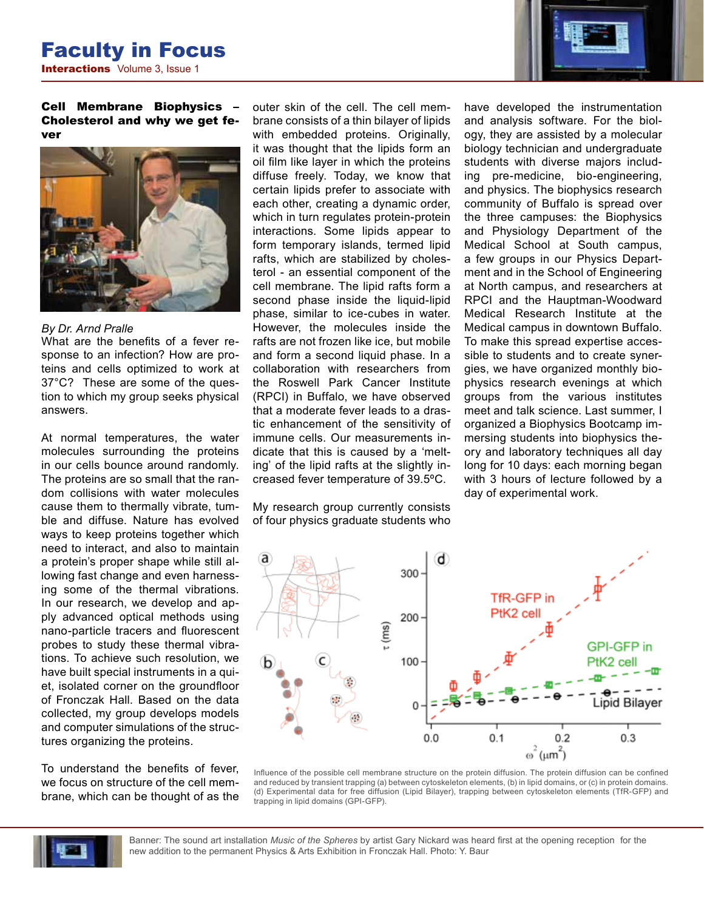

Cell Membrane Biophysics – Cholesterol and why we get fever



#### *By Dr. Arnd Pralle*

What are the benefits of a fever response to an infection? How are proteins and cells optimized to work at 37°C? These are some of the question to which my group seeks physical answers.

At normal temperatures, the water molecules surrounding the proteins in our cells bounce around randomly. The proteins are so small that the random collisions with water molecules cause them to thermally vibrate, tumble and diffuse. Nature has evolved ways to keep proteins together which need to interact, and also to maintain a protein's proper shape while still allowing fast change and even harnessing some of the thermal vibrations. In our research, we develop and apply advanced optical methods using nano-particle tracers and fluorescent probes to study these thermal vibrations. To achieve such resolution, we have built special instruments in a quiet, isolated corner on the groundfloor of Fronczak Hall. Based on the data collected, my group develops models and computer simulations of the structures organizing the proteins.

To understand the benefits of fever, we focus on structure of the cell membrane, which can be thought of as the outer skin of the cell. The cell membrane consists of a thin bilayer of lipids with embedded proteins. Originally, it was thought that the lipids form an oil film like layer in which the proteins diffuse freely. Today, we know that certain lipids prefer to associate with each other, creating a dynamic order, which in turn regulates protein-protein interactions. Some lipids appear to form temporary islands, termed lipid rafts, which are stabilized by cholesterol - an essential component of the cell membrane. The lipid rafts form a second phase inside the liquid-lipid phase, similar to ice-cubes in water. However, the molecules inside the rafts are not frozen like ice, but mobile and form a second liquid phase. In a collaboration with researchers from the Roswell Park Cancer Institute (RPCI) in Buffalo, we have observed that a moderate fever leads to a drastic enhancement of the sensitivity of immune cells. Our measurements indicate that this is caused by a 'melting' of the lipid rafts at the slightly increased fever temperature of 39.5ºC.

My research group currently consists of four physics graduate students who have developed the instrumentation and analysis software. For the biology, they are assisted by a molecular biology technician and undergraduate students with diverse majors including pre-medicine, bio-engineering, and physics. The biophysics research community of Buffalo is spread over the three campuses: the Biophysics and Physiology Department of the Medical School at South campus, a few groups in our Physics Department and in the School of Engineering at North campus, and researchers at RPCI and the Hauptman-Woodward Medical Research Institute at the Medical campus in downtown Buffalo. To make this spread expertise accessible to students and to create synergies, we have organized monthly biophysics research evenings at which groups from the various institutes meet and talk science. Last summer, I organized a Biophysics Bootcamp immersing students into biophysics theory and laboratory techniques all day long for 10 days: each morning began with 3 hours of lecture followed by a day of experimental work.







Banner: The sound art installation *Music of the Spheres* by artist Gary Nickard was heard first at the opening reception for the new addition to the permanent Physics & Arts Exhibition in Fronczak Hall. Photo: Y. Baur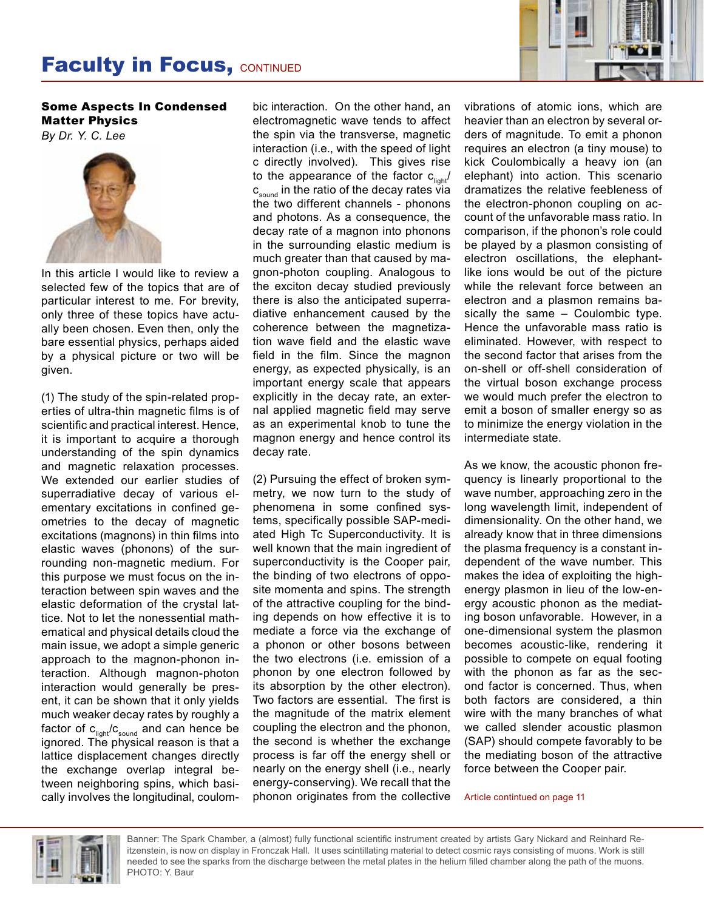## **Faculty in Focus, CONTINUED**



Some Aspects In Condensed Matter Physics *By Dr. Y. C. Lee*



In this article I would like to review a selected few of the topics that are of particular interest to me. For brevity, only three of these topics have actually been chosen. Even then, only the bare essential physics, perhaps aided by a physical picture or two will be given.

(1) The study of the spin-related properties of ultra-thin magnetic films is of scientific and practical interest. Hence, it is important to acquire a thorough understanding of the spin dynamics and magnetic relaxation processes. We extended our earlier studies of superradiative decay of various elementary excitations in confined geometries to the decay of magnetic excitations (magnons) in thin films into elastic waves (phonons) of the surrounding non-magnetic medium. For this purpose we must focus on the interaction between spin waves and the elastic deformation of the crystal lattice. Not to let the nonessential mathematical and physical details cloud the main issue, we adopt a simple generic approach to the magnon-phonon interaction. Although magnon-photon interaction would generally be present, it can be shown that it only yields much weaker decay rates by roughly a factor of  $c_{\text{light}}/c_{\text{sound}}$  and can hence be ignored. The physical reason is that a lattice displacement changes directly the exchange overlap integral between neighboring spins, which basically involves the longitudinal, coulom-

bic interaction. On the other hand, an electromagnetic wave tends to affect the spin via the transverse, magnetic interaction (i.e., with the speed of light c directly involved). This gives rise to the appearance of the factor  $c_{\text{liath}}/c$  $c_{\text{sound}}$  in the ratio of the decay rates via the two different channels - phonons and photons. As a consequence, the decay rate of a magnon into phonons in the surrounding elastic medium is much greater than that caused by magnon-photon coupling. Analogous to the exciton decay studied previously there is also the anticipated superradiative enhancement caused by the coherence between the magnetization wave field and the elastic wave field in the film. Since the magnon energy, as expected physically, is an important energy scale that appears explicitly in the decay rate, an external applied magnetic field may serve as an experimental knob to tune the magnon energy and hence control its decay rate.

(2) Pursuing the effect of broken symmetry, we now turn to the study of phenomena in some confined systems, specifically possible SAP-mediated High Tc Superconductivity. It is well known that the main ingredient of superconductivity is the Cooper pair, the binding of two electrons of opposite momenta and spins. The strength of the attractive coupling for the binding depends on how effective it is to mediate a force via the exchange of a phonon or other bosons between the two electrons (i.e. emission of a phonon by one electron followed by its absorption by the other electron). Two factors are essential. The first is the magnitude of the matrix element coupling the electron and the phonon, the second is whether the exchange process is far off the energy shell or nearly on the energy shell (i.e., nearly energy-conserving). We recall that the phonon originates from the collective vibrations of atomic ions, which are heavier than an electron by several orders of magnitude. To emit a phonon requires an electron (a tiny mouse) to kick Coulombically a heavy ion (an elephant) into action. This scenario dramatizes the relative feebleness of the electron-phonon coupling on account of the unfavorable mass ratio. In comparison, if the phonon's role could be played by a plasmon consisting of electron oscillations, the elephantlike ions would be out of the picture while the relevant force between an electron and a plasmon remains basically the same – Coulombic type. Hence the unfavorable mass ratio is eliminated. However, with respect to the second factor that arises from the on-shell or off-shell consideration of the virtual boson exchange process we would much prefer the electron to emit a boson of smaller energy so as to minimize the energy violation in the intermediate state.

As we know, the acoustic phonon frequency is linearly proportional to the wave number, approaching zero in the long wavelength limit, independent of dimensionality. On the other hand, we already know that in three dimensions the plasma frequency is a constant independent of the wave number. This makes the idea of exploiting the highenergy plasmon in lieu of the low-energy acoustic phonon as the mediating boson unfavorable. However, in a one-dimensional system the plasmon becomes acoustic-like, rendering it possible to compete on equal footing with the phonon as far as the second factor is concerned. Thus, when both factors are considered, a thin wire with the many branches of what we called slender acoustic plasmon (SAP) should compete favorably to be the mediating boson of the attractive force between the Cooper pair.

Article contintued on page 11



Banner: The Spark Chamber, a (almost) fully functional scientific instrument created by artists Gary Nickard and Reinhard Reitzenstein, is now on display in Fronczak Hall. It uses scintillating material to detect cosmic rays consisting of muons. Work is still needed to see the sparks from the discharge between the metal plates in the helium filled chamber along the path of the muons. PHOTO: Y. Baur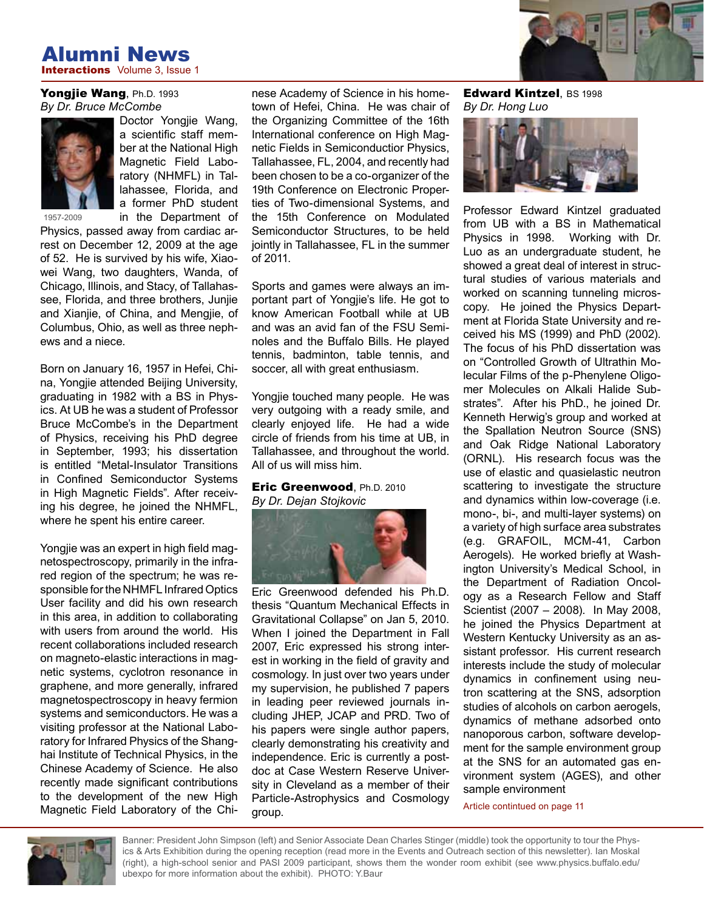### **Interactions** Volume 3, Issue 1 Alumni News

#### Yongjie Wang, Ph.D. 1993 *By Dr. Bruce McCombe*



Doctor Yongjie Wang, a scientific staff member at the National High Magnetic Field Laboratory (NHMFL) in Tallahassee, Florida, and a former PhD student in the Department of

Physics, passed away from cardiac arrest on December 12, 2009 at the age of 52. He is survived by his wife, Xiaowei Wang, two daughters, Wanda, of Chicago, Illinois, and Stacy, of Tallahassee, Florida, and three brothers, Junjie and Xianjie, of China, and Mengjie, of Columbus, Ohio, as well as three nephews and a niece.

Born on January 16, 1957 in Hefei, China, Yongjie attended Beijing University, graduating in 1982 with a BS in Physics. At UB he was a student of Professor Bruce McCombe's in the Department of Physics, receiving his PhD degree in September, 1993; his dissertation is entitled "Metal-Insulator Transitions in Confined Semiconductor Systems in High Magnetic Fields". After receiving his degree, he joined the NHMFL, where he spent his entire career.

Yongjie was an expert in high field magnetospectroscopy, primarily in the infrared region of the spectrum; he was responsible for the NHMFL Infrared Optics User facility and did his own research in this area, in addition to collaborating with users from around the world. His recent collaborations included research on magneto-elastic interactions in magnetic systems, cyclotron resonance in graphene, and more generally, infrared magnetospectroscopy in heavy fermion systems and semiconductors. He was a visiting professor at the National Laboratory for Infrared Physics of the Shanghai Institute of Technical Physics, in the Chinese Academy of Science. He also recently made significant contributions to the development of the new High Magnetic Field Laboratory of the Chinese Academy of Science in his hometown of Hefei, China. He was chair of the Organizing Committee of the 16th International conference on High Magnetic Fields in Semiconductior Physics, Tallahassee, FL, 2004, and recently had been chosen to be a co-organizer of the 19th Conference on Electronic Properties of Two-dimensional Systems, and the 15th Conference on Modulated Semiconductor Structures, to be held jointly in Tallahassee, FL in the summer of 2011.

Sports and games were always an important part of Yongjie's life. He got to know American Football while at UB and was an avid fan of the FSU Seminoles and the Buffalo Bills. He played tennis, badminton, table tennis, and soccer, all with great enthusiasm.

Yongjie touched many people. He was very outgoing with a ready smile, and clearly enjoyed life. He had a wide circle of friends from his time at UB, in Tallahassee, and throughout the world. All of us will miss him.

#### Eric Greenwood, Ph.D. 2010 *By Dr. Dejan Stojkovic*



Eric Greenwood defended his Ph.D. thesis "Quantum Mechanical Effects in Gravitational Collapse" on Jan 5, 2010. When I joined the Department in Fall 2007, Eric expressed his strong interest in working in the field of gravity and cosmology. In just over two years under my supervision, he published 7 papers in leading peer reviewed journals including JHEP, JCAP and PRD. Two of his papers were single author papers, clearly demonstrating his creativity and independence. Eric is currently a postdoc at Case Western Reserve University in Cleveland as a member of their Particle-Astrophysics and Cosmology group.

Edward Kintzel, BS 1998 *By Dr. Hong Luo*



Professor Edward Kintzel graduated from UB with a BS in Mathematical Physics in 1998. Working with Dr. Luo as an undergraduate student, he showed a great deal of interest in structural studies of various materials and worked on scanning tunneling microscopy. He joined the Physics Department at Florida State University and received his MS (1999) and PhD (2002). The focus of his PhD dissertation was on "Controlled Growth of Ultrathin Molecular Films of the p-Phenylene Oligomer Molecules on Alkali Halide Substrates". After his PhD., he joined Dr. Kenneth Herwig's group and worked at the Spallation Neutron Source (SNS) and Oak Ridge National Laboratory (ORNL). His research focus was the use of elastic and quasielastic neutron scattering to investigate the structure and dynamics within low-coverage (i.e. mono-, bi-, and multi-layer systems) on a variety of high surface area substrates (e.g. GRAFOIL, MCM-41, Carbon Aerogels). He worked briefly at Washington University's Medical School, in the Department of Radiation Oncology as a Research Fellow and Staff Scientist (2007 – 2008). In May 2008, he joined the Physics Department at Western Kentucky University as an assistant professor. His current research interests include the study of molecular dynamics in confinement using neutron scattering at the SNS, adsorption studies of alcohols on carbon aerogels, dynamics of methane adsorbed onto nanoporous carbon, software development for the sample environment group at the SNS for an automated gas environment system (AGES), and other sample environment

Article contintued on page 11



Banner: President John Simpson (left) and Senior Associate Dean Charles Stinger (middle) took the opportunity to tour the Physics & Arts Exhibition during the opening reception (read more in the Events and Outreach section of this newsletter). Ian Moskal (right), a high-school senior and PASI 2009 participant, shows them the wonder room exhibit (see www.physics.buffalo.edu/ ubexpo for more information about the exhibit). PHOTO: Y.Baur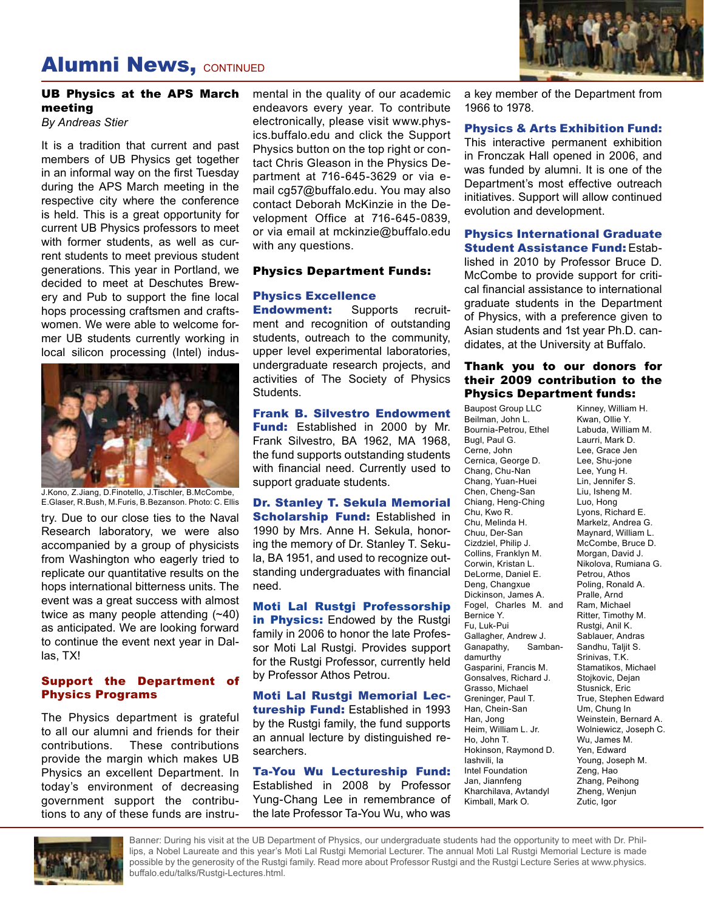## **Alumni News, CONTINUED**



### UB Physics at the APS March meeting

*By Andreas Stier*

It is a tradition that current and past members of UB Physics get together in an informal way on the first Tuesday during the APS March meeting in the respective city where the conference is held. This is a great opportunity for current UB Physics professors to meet with former students, as well as current students to meet previous student generations. This year in Portland, we decided to meet at Deschutes Brewery and Pub to support the fine local hops processing craftsmen and craftswomen. We were able to welcome former UB students currently working in local silicon processing (Intel) indus-



J.Kono, Z.Jiang, D.Finotello, J.Tischler, B.McCombe, E.Glaser, R.Bush, M.Furis, B.Bezanson. Photo: C. Ellis

try. Due to our close ties to the Naval Research laboratory, we were also accompanied by a group of physicists from Washington who eagerly tried to replicate our quantitative results on the hops international bitterness units. The event was a great success with almost twice as many people attending (~40) as anticipated. We are looking forward to continue the event next year in Dallas, TX!

#### Support the Department of Physics Programs

The Physics department is grateful to all our alumni and friends for their contributions. These contributions provide the margin which makes UB Physics an excellent Department. In today's environment of decreasing government support the contributions to any of these funds are instrumental in the quality of our academic endeavors every year. To contribute electronically, please visit www.physics.buffalo.edu and click the Support Physics button on the top right or contact Chris Gleason in the Physics Department at 716-645-3629 or via email cg57@buffalo.edu. You may also contact Deborah McKinzie in the Development Office at 716-645-0839, or via email at mckinzie@buffalo.edu with any questions.

#### Physics Department Funds:

### Physics Excellence

**Endowment:** Supports recruitment and recognition of outstanding students, outreach to the community, upper level experimental laboratories, undergraduate research projects, and activities of The Society of Physics Students.

#### Frank B. Silvestro Endowment

Fund: Established in 2000 by Mr. Frank Silvestro, BA 1962, MA 1968, the fund supports outstanding students with financial need. Currently used to support graduate students.

Dr. Stanley T. Sekula Memorial **Scholarship Fund: Established in** 1990 by Mrs. Anne H. Sekula, honoring the memory of Dr. Stanley T. Sekula, BA 1951, and used to recognize outstanding undergraduates with financial need.

#### Moti Lal Rustgi Professorship

in Physics: Endowed by the Rustgi family in 2006 to honor the late Professor Moti Lal Rustgi. Provides support for the Rustgi Professor, currently held by Professor Athos Petrou.

Moti Lal Rustgi Memorial Lectureship Fund: Established in 1993 by the Rustgi family, the fund supports an annual lecture by distinguished researchers.

Ta-You Wu Lectureship Fund: Established in 2008 by Professor Yung-Chang Lee in remembrance of the late Professor Ta-You Wu, who was

a key member of the Department from 1966 to 1978.

#### Physics & Arts Exhibition Fund:

This interactive permanent exhibition in Fronczak Hall opened in 2006, and was funded by alumni. It is one of the Department's most effective outreach initiatives. Support will allow continued evolution and development.

#### Physics International Graduate Student Assistance Fund: Estab-

lished in 2010 by Professor Bruce D. McCombe to provide support for critical financial assistance to international graduate students in the Department of Physics, with a preference given to Asian students and 1st year Ph.D. candidates, at the University at Buffalo.

#### Thank you to our donors for their 2009 contribution to the Physics Department funds:

Baupost Group LLC Beilman, John L. Bournia-Petrou, Ethel Bugl, Paul G. Cerne, John Cernica, George D. Chang, Chu-Nan Chang, Yuan-Huei Chen, Cheng-San Chiang, Heng-Ching Chu, Kwo R. Chu, Melinda H. Chuu, Der-San Cizdziel, Philip J. Collins, Franklyn M. Corwin, Kristan L. DeLorme, Daniel E. Deng, Changxue Dickinson, James A. Fogel, Charles M. and Bernice Y. Fu, Luk-Pui Gallagher, Andrew J. Ganapathy, Sambandamurthy Gasparini, Francis M. Gonsalves, Richard J. Grasso, Michael Greninger, Paul T. Han, Chein-San Han, Jong Heim, William L. Jr. Ho, John T. Hokinson, Raymond D. Iashvili, Ia Intel Foundation Jan, Jiannfeng Kharchilava, Avtandyl Kimball, Mark O.

Kinney, William H. Kwan, Ollie Y. Labuda, William M. Laurri, Mark D. Lee, Grace Jen Lee, Shu-jone Lee, Yung H. Lin, Jennifer S. Liu, Isheng M. Luo, Hong Lyons, Richard E. Markelz, Andrea G. Maynard, William L. McCombe, Bruce D. Morgan, David J. Nikolova, Rumiana G. Petrou, Athos Poling, Ronald A. Pralle, Arnd Ram, Michael Ritter, Timothy M. Rustgi, Anil K. Sablauer, Andras Sandhu, Taljit S. Srinivas, T.K. Stamatikos, Michael Stojkovic, Dejan Stusnick, Eric True, Stephen Edward Um, Chung In Weinstein, Bernard A. Wolniewicz, Joseph C. Wu, James M. Yen, Edward Young, Joseph M. Zeng, Hao Zhang, Peihong Zheng, Wenjun Zutic, Igor



Banner: During his visit at the UB Department of Physics, our undergraduate students had the opportunity to meet with Dr. Phillips, a Nobel Laureate and this year's Moti Lal Rustgi Memorial Lecturer. The annual Moti Lal Rustgi Memorial Lecture is made possible by the generosity of the Rustgi family. Read more about Professor Rustgi and the Rustgi Lecture Series at www.physics. buffalo.edu/talks/Rustgi-Lectures.html.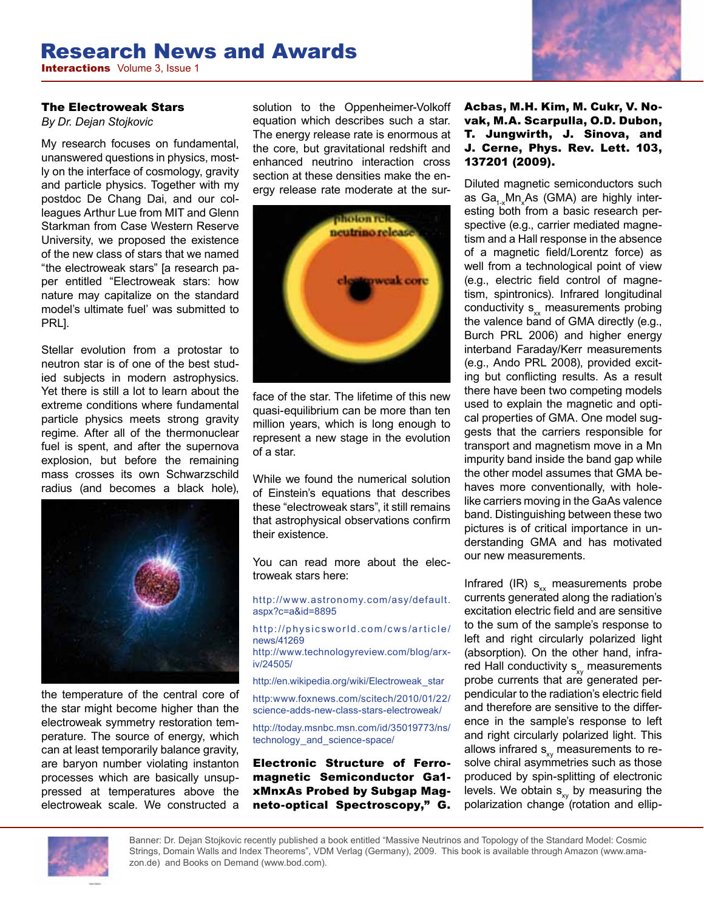# Research News and Awards

**Interactions** Volume 3, Issue 1

#### The Electroweak Stars

*By Dr. Dejan Stojkovic*

My research focuses on fundamental, unanswered questions in physics, mostly on the interface of cosmology, gravity and particle physics. Together with my postdoc De Chang Dai, and our colleagues Arthur Lue from MIT and Glenn Starkman from Case Western Reserve University, we proposed the existence of the new class of stars that we named "the electroweak stars" [a research paper entitled "Electroweak stars: how nature may capitalize on the standard model's ultimate fuel' was submitted to PRL].

Stellar evolution from a protostar to neutron star is of one of the best studied subjects in modern astrophysics. Yet there is still a lot to learn about the extreme conditions where fundamental particle physics meets strong gravity regime. After all of the thermonuclear fuel is spent, and after the supernova explosion, but before the remaining mass crosses its own Schwarzschild radius (and becomes a black hole),



the temperature of the central core of the star might become higher than the electroweak symmetry restoration temperature. The source of energy, which can at least temporarily balance gravity, are baryon number violating instanton processes which are basically unsuppressed at temperatures above the electroweak scale. We constructed a

solution to the Oppenheimer-Volkoff equation which describes such a star. The energy release rate is enormous at the core, but gravitational redshift and enhanced neutrino interaction cross section at these densities make the energy release rate moderate at the sur-



face of the star. The lifetime of this new quasi-equilibrium can be more than ten million years, which is long enough to represent a new stage in the evolution of a star.

While we found the numerical solution of Einstein's equations that describes these "electroweak stars", it still remains that astrophysical observations confirm their existence.

You can read more about the electroweak stars here:

http://www.astronomy.com/asy/default. aspx?c=a&id=8895

http://physicsworld.com/cws/article/ news/41269

http://www.technologyreview.com/blog/arxiv/24505/

http://en.wikipedia.org/wiki/Electroweak\_star

http:www.foxnews.com/scitech/2010/01/22/ science-adds-new-class-stars-electroweak/

http://today.msnbc.msn.com/id/35019773/ns/ technology\_and\_science-space/

Electronic Structure of Ferromagnetic Semiconductor Ga1 xMnxAs Probed by Subgap Magneto-optical Spectroscopy," G.

#### Acbas, M.H. Kim, M. Cukr, V. Novak, M.A. Scarpulla, O.D. Dubon, T. Jungwirth, J. Sinova, and J. Cerne, Phys. Rev. Lett. 103, 137201 (2009).

Diluted magnetic semiconductors such as Ga<sub>1-x</sub>Mn<sub>x</sub>As (GMA) are highly interesting both from a basic research perspective (e.g., carrier mediated magnetism and a Hall response in the absence of a magnetic field/Lorentz force) as well from a technological point of view (e.g., electric field control of magnetism, spintronics). Infrared longitudinal conductivity  $s_{xx}$  measurements probing the valence band of GMA directly (e.g., Burch PRL 2006) and higher energy interband Faraday/Kerr measurements (e.g., Ando PRL 2008), provided exciting but conflicting results. As a result there have been two competing models used to explain the magnetic and optical properties of GMA. One model suggests that the carriers responsible for transport and magnetism move in a Mn impurity band inside the band gap while the other model assumes that GMA behaves more conventionally, with holelike carriers moving in the GaAs valence band. Distinguishing between these two pictures is of critical importance in understanding GMA and has motivated our new measurements.

Infrared (IR)  $s_{xx}$  measurements probe currents generated along the radiation's excitation electric field and are sensitive to the sum of the sample's response to left and right circularly polarized light (absorption). On the other hand, infrared Hall conductivity  $s_{xy}$  measurements probe currents that are generated perpendicular to the radiation's electric field and therefore are sensitive to the difference in the sample's response to left and right circularly polarized light. This allows infrared  $s_{xy}$  measurements to resolve chiral asymmetries such as those produced by spin-splitting of electronic levels. We obtain  $s_{xy}$  by measuring the polarization change (rotation and ellip-



Banner: Dr. Dejan Stojkovic recently published a book entitled "Massive Neutrinos and Topology of the Standard Model: Cosmic Strings, Domain Walls and Index Theorems", VDM Verlag (Germany), 2009. This book is available through Amazon (www.amazon.de) and Books on Demand (www.bod.com).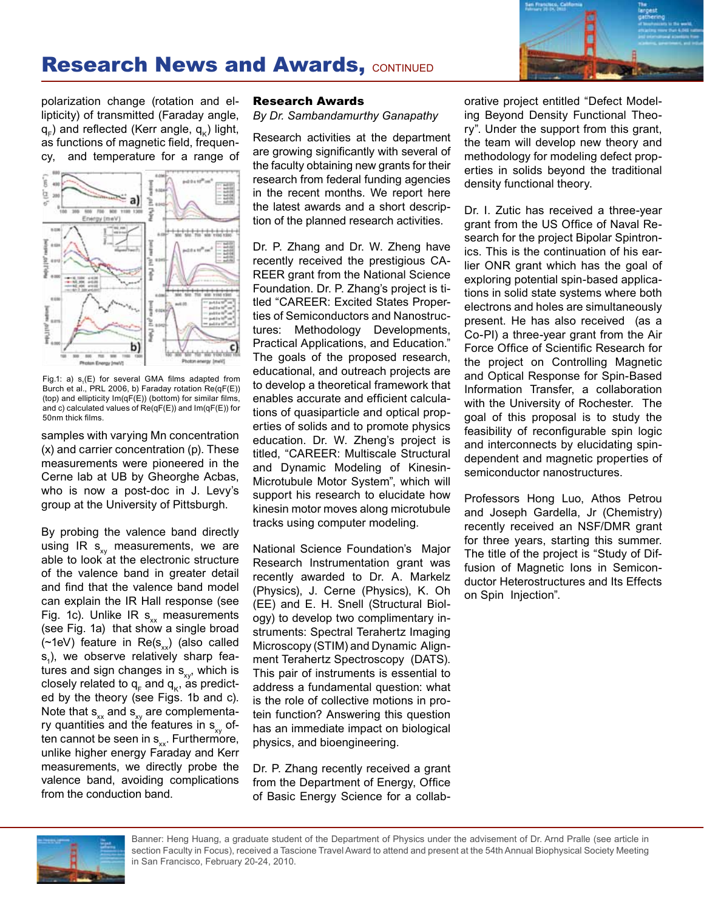

## **Research News and Awards, CONTINUED**

polarization change (rotation and ellipticity) of transmitted (Faraday angle,  $q_{c}$ ) and reflected (Kerr angle,  $q_{c}$ ) light, as functions of magnetic field, frequency, and temperature for a range of



Fig.1: a)  $s_1(E)$  for several GMA films adapted from Burch et al., PRL 2006, b) Faraday rotation Re(qF(E)) (top) and ellipticity Im(qF(E)) (bottom) for similar films, and c) calculated values of Re(qF(E)) and Im(qF(E)) for 50nm thick films.

samples with varying Mn concentration (x) and carrier concentration (p). These measurements were pioneered in the Cerne lab at UB by Gheorghe Acbas, who is now a post-doc in J. Levy's group at the University of Pittsburgh.

By probing the valence band directly using IR  $s_{xy}$  measurements, we are able to look at the electronic structure of the valence band in greater detail and find that the valence band model can explain the IR Hall response (see Fig. 1c). Unlike IR  $s_{xx}$  measurements (see Fig. 1a) that show a single broad (~1eV) feature in  $Re(s_{xx})$  (also called  $s<sub>1</sub>$ ), we observe relatively sharp features and sign changes in  $s_{xy}$ , which is closely related to  $q_F$  and  $q_K$ , as predicted by the theory (see Figs. 1b and c). Note that  $s_{xx}$  and  $s_{xy}$  are complementary quantities and the features in  $s_{xy}$  often cannot be seen in  $s_{xx}$ . Furthermore, unlike higher energy Faraday and Kerr measurements, we directly probe the valence band, avoiding complications from the conduction band.

#### Research Awards

*By Dr. Sambandamurthy Ganapathy*

Research activities at the department are growing significantly with several of the faculty obtaining new grants for their research from federal funding agencies in the recent months. We report here the latest awards and a short description of the planned research activities.

Dr. P. Zhang and Dr. W. Zheng have recently received the prestigious CA-REER grant from the National Science Foundation. Dr. P. Zhang's project is titled "CAREER: Excited States Properties of Semiconductors and Nanostructures: Methodology Developments, Practical Applications, and Education." The goals of the proposed research, educational, and outreach projects are to develop a theoretical framework that enables accurate and efficient calculations of quasiparticle and optical properties of solids and to promote physics education. Dr. W. Zheng's project is titled, "CAREER: Multiscale Structural and Dynamic Modeling of Kinesin-Microtubule Motor System", which will support his research to elucidate how kinesin motor moves along microtubule tracks using computer modeling.

National Science Foundation's Major Research Instrumentation grant was recently awarded to Dr. A. Markelz (Physics), J. Cerne (Physics), K. Oh (EE) and E. H. Snell (Structural Biology) to develop two complimentary instruments: Spectral Terahertz Imaging Microscopy (STIM) and Dynamic Alignment Terahertz Spectroscopy (DATS). This pair of instruments is essential to address a fundamental question: what is the role of collective motions in protein function? Answering this question has an immediate impact on biological physics, and bioengineering.

Dr. P. Zhang recently received a grant from the Department of Energy, Office of Basic Energy Science for a collaborative project entitled "Defect Modeling Beyond Density Functional Theory". Under the support from this grant, the team will develop new theory and methodology for modeling defect properties in solids beyond the traditional density functional theory.

Dr. I. Zutic has received a three-year grant from the US Office of Naval Research for the project Bipolar Spintronics. This is the continuation of his earlier ONR grant which has the goal of exploring potential spin-based applications in solid state systems where both electrons and holes are simultaneously present. He has also received (as a Co-PI) a three-year grant from the Air Force Office of Scientific Research for the project on Controlling Magnetic and Optical Response for Spin-Based Information Transfer, a collaboration with the University of Rochester. The goal of this proposal is to study the feasibility of reconfigurable spin logic and interconnects by elucidating spindependent and magnetic properties of semiconductor nanostructures.

Professors Hong Luo, Athos Petrou and Joseph Gardella, Jr (Chemistry) recently received an NSF/DMR grant for three years, starting this summer. The title of the project is "Study of Diffusion of Magnetic Ions in Semiconductor Heterostructures and Its Effects on Spin Injection".

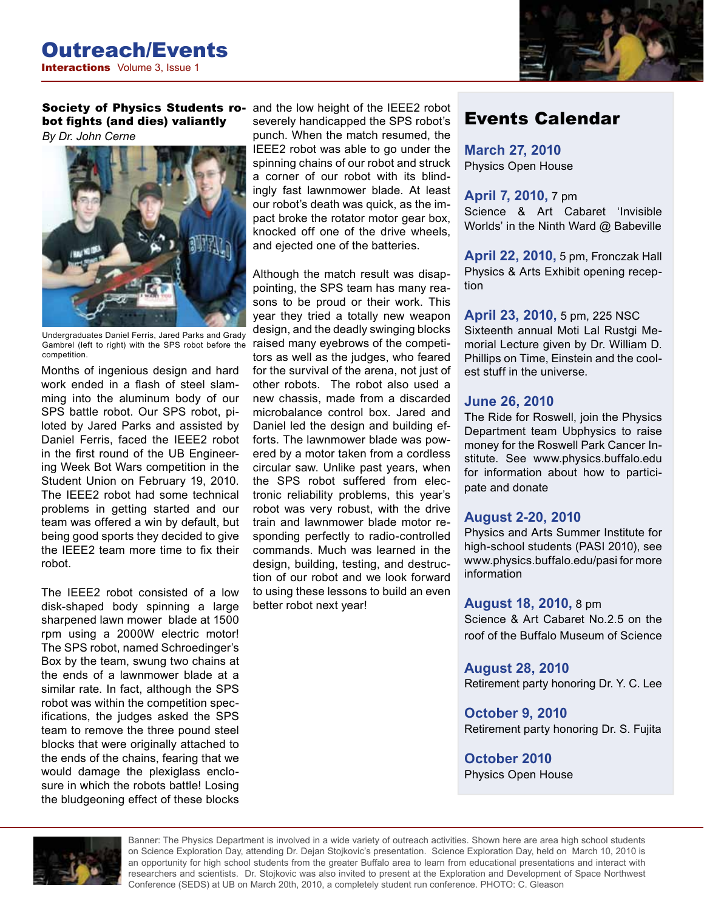

Society of Physics Students robot fights (and dies) valiantly *By Dr. John Cerne*



Undergraduates Daniel Ferris, Jared Parks and Grady Gambrel (left to right) with the SPS robot before the competition.

Months of ingenious design and hard work ended in a flash of steel slamming into the aluminum body of our SPS battle robot. Our SPS robot, piloted by Jared Parks and assisted by Daniel Ferris, faced the IEEE2 robot in the first round of the UB Engineering Week Bot Wars competition in the Student Union on February 19, 2010. The IEEE2 robot had some technical problems in getting started and our team was offered a win by default, but being good sports they decided to give the IEEE2 team more time to fix their robot.

The IEEE2 robot consisted of a low disk-shaped body spinning a large sharpened lawn mower blade at 1500 rpm using a 2000W electric motor! The SPS robot, named Schroedinger's Box by the team, swung two chains at the ends of a lawnmower blade at a similar rate. In fact, although the SPS robot was within the competition specifications, the judges asked the SPS team to remove the three pound steel blocks that were originally attached to the ends of the chains, fearing that we would damage the plexiglass enclosure in which the robots battle! Losing the bludgeoning effect of these blocks

and the low height of the IEEE2 robot severely handicapped the SPS robot's punch. When the match resumed, the IEEE2 robot was able to go under the spinning chains of our robot and struck a corner of our robot with its blindingly fast lawnmower blade. At least our robot's death was quick, as the impact broke the rotator motor gear box, knocked off one of the drive wheels, and ejected one of the batteries.

Although the match result was disappointing, the SPS team has many reasons to be proud or their work. This year they tried a totally new weapon design, and the deadly swinging blocks raised many eyebrows of the competitors as well as the judges, who feared for the survival of the arena, not just of other robots. The robot also used a new chassis, made from a discarded microbalance control box. Jared and Daniel led the design and building efforts. The lawnmower blade was powered by a motor taken from a cordless circular saw. Unlike past years, when the SPS robot suffered from electronic reliability problems, this year's robot was very robust, with the drive train and lawnmower blade motor responding perfectly to radio-controlled commands. Much was learned in the design, building, testing, and destruction of our robot and we look forward to using these lessons to build an even better robot next year!

## Events Calendar

#### **March 27, 2010** Physics Open House

**April 7, 2010,** 7 pm Science & Art Cabaret 'Invisible Worlds' in the Ninth Ward @ Babeville

**April 22, 2010,** 5 pm, Fronczak Hall Physics & Arts Exhibit opening reception

**April 23, 2010,** 5 pm, 225 NSC Sixteenth annual Moti Lal Rustgi Me-

morial Lecture given by Dr. William D. Phillips on Time, Einstein and the coolest stuff in the universe.

#### **June 26, 2010**

The Ride for Roswell, join the Physics Department team Ubphysics to raise money for the Roswell Park Cancer Institute. See www.physics.buffalo.edu for information about how to participate and donate

#### **August 2-20, 2010**

Physics and Arts Summer Institute for high-school students (PASI 2010), see www.physics.buffalo.edu/pasi for more information

#### **August 18, 2010,** 8 pm

Science & Art Cabaret No.2.5 on the roof of the Buffalo Museum of Science

**August 28, 2010** Retirement party honoring Dr. Y. C. Lee

**October 9, 2010** Retirement party honoring Dr. S. Fujita

**October 2010** Physics Open House



Banner: The Physics Department is involved in a wide variety of outreach activities. Shown here are area high school students on Science Exploration Day, attending Dr. Dejan Stojkovic's presentation. Science Exploration Day, held on March 10, 2010 is an opportunity for high school students from the greater Buffalo area to learn from educational presentations and interact with researchers and scientists. Dr. Stojkovic was also invited to present at the Exploration and Development of Space Northwest Conference (SEDS) at UB on March 20th, 2010, a completely student run conference. PHOTO: C. Gleason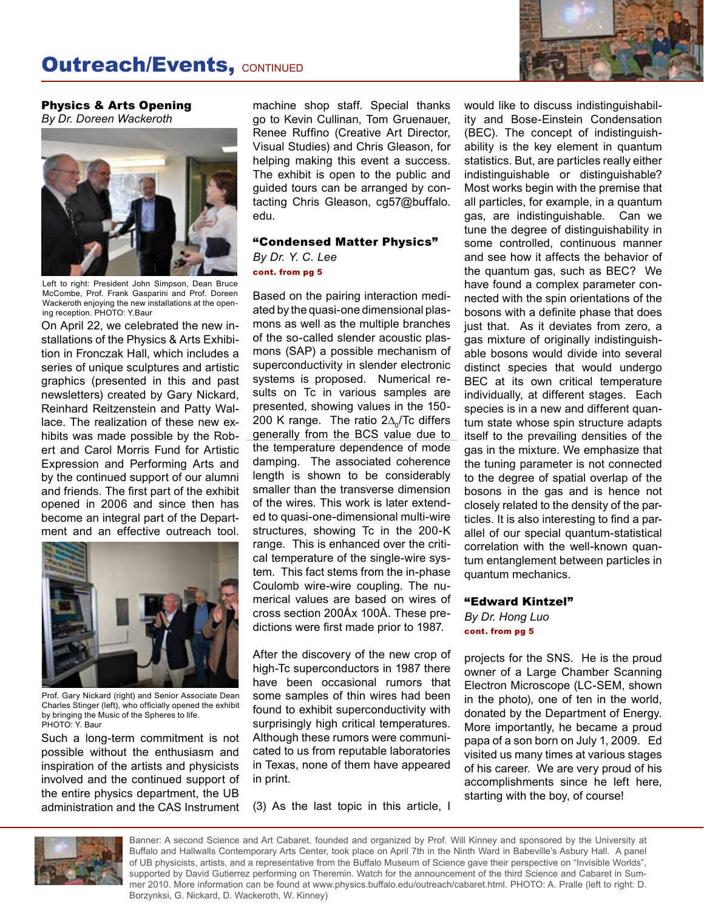

Physics & Arts Opening *By Dr. Doreen Wackeroth*



Left to right: President John Simpson, Dean Bruce McCombe, Prof. Frank Gasparini and Prof. Doreen Wackeroth enjoying the new installations at the opening reception. PHOTO: Y.Baur

On April 22, we celebrated the new installations of the Physics & Arts Exhibition in Fronczak Hall, which includes a series of unique sculptures and artistic graphics (presented in this and past newsletters) created by Gary Nickard, Reinhard Reitzenstein and Patty Wallace. The realization of these new exhibits was made possible by the Robert and Carol Morris Fund for Artistic Expression and Performing Arts and by the continued support of our alumni and friends. The first part of the exhibit opened in 2006 and since then has become an integral part of the Department and an effective outreach tool.



Prof. Gary Nickard (right) and Senior Associate Dean Charles Stinger (left), who officially opened the exhibit by bringing the Music of the Spheres to life. PHOTO: Y. Baur

Such a long-term commitment is not possible without the enthusiasm and inspiration of the artists and physicists involved and the continued support of the entire physics department, the UB administration and the CAS Instrument machine shop staff. Special thanks go to Kevin Cullinan, Tom Gruenauer, Renee Ruffino (Creative Art Director, Visual Studies) and Chris Gleason, for helping making this event a success. The exhibit is open to the public and guided tours can be arranged by contacting Chris Gleason, cg57@buffalo. edu.

#### "Condensed Matter Physics"

*By Dr. Y. C. Lee* cont. from pg 5

Based on the pairing interaction mediated by the quasi-one dimensional plasmons as well as the multiple branches of the so-called slender acoustic plasmons (SAP) a possible mechanism of superconductivity in slender electronic systems is proposed. Numerical results on Tc in various samples are presented, showing values in the 150- 200 K range. The ratio 2∆<sub>0</sub>/Tc differs generally from the BCS value due to the temperature dependence of mode damping. The associated coherence length is shown to be considerably smaller than the transverse dimension of the wires. This work is later extended to quasi-one-dimensional multi-wire structures, showing Tc in the 200-K range. This is enhanced over the critical temperature of the single-wire system. This fact stems from the in-phase Coulomb wire-wire coupling. The numerical values are based on wires of cross section 200Åx 100Å. These predictions were first made prior to 1987.

After the discovery of the new crop of high-Tc superconductors in 1987 there have been occasional rumors that some samples of thin wires had been found to exhibit superconductivity with surprisingly high critical temperatures. Although these rumors were communicated to us from reputable laboratories in Texas, none of them have appeared in print.

(3) As the last topic in this article, I

would like to discuss indistinguishability and Bose-Einstein Condensation (BEC). The concept of indistinguishability is the key element in quantum statistics. But, are particles really either indistinguishable or distinguishable? Most works begin with the premise that all particles, for example, in a quantum gas, are indistinguishable. Can we tune the degree of distinguishability in some controlled, continuous manner and see how it affects the behavior of the quantum gas, such as BEC? We have found a complex parameter connected with the spin orientations of the bosons with a definite phase that does just that. As it deviates from zero, a gas mixture of originally indistinguishable bosons would divide into several distinct species that would undergo BEC at its own critical temperature individually, at different stages. Each species is in a new and different quantum state whose spin structure adapts itself to the prevailing densities of the gas in the mixture. We emphasize that the tuning parameter is not connected to the degree of spatial overlap of the bosons in the gas and is hence not closely related to the density of the particles. It is also interesting to find a parallel of our special quantum-statistical correlation with the well-known quantum entanglement between particles in quantum mechanics.

### "Edward Kintzel"

*By Dr. Hong Luo* cont. from pg 5

projects for the SNS. He is the proud owner of a Large Chamber Scanning Electron Microscope (LC-SEM, shown in the photo), one of ten in the world, donated by the Department of Energy. More importantly, he became a proud papa of a son born on July 1, 2009. Ed visited us many times at various stages of his career. We are very proud of his accomplishments since he left here, starting with the boy, of course!



Banner: A second Science and Art Cabaret, founded and organized by Prof. Will Kinney and sponsored by the University at Buffalo and Hallwalls Contemporary Arts Center, took place on April 7th in the Ninth Ward in Babeville's Asbury Hall. A panel of UB physicists, artists, and a representative from the Buffalo Museum of Science gave their perspective on "Invisible Worlds", supported by David Gutierrez performing on Theremin. Watch for the announcement of the third Science and Cabaret in Summer 2010. More information can be found at www.physics.buffalo.edu/outreach/cabaret.html. PHOTO: A. Pralle (left to right: D. Borzynksi, G. Nickard, D. Wackeroth, W. Kinney)